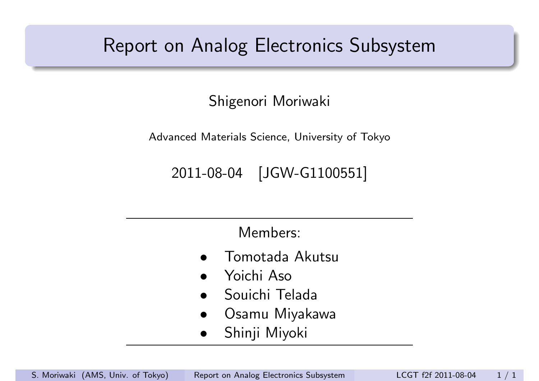### <span id="page-0-0"></span>Report on Analog Electronics Subsystem

#### Shigenori Moriwaki

Advanced Materials Science, University of Tokyo

2011-08-04 [JGW-G1100551]

Members:

- *•* Tomotada Akutsu
- *•* Yoichi Aso
- *•* Souichi Telada
- *•* Osamu Miyakawa
- *•* Shinji Miyoki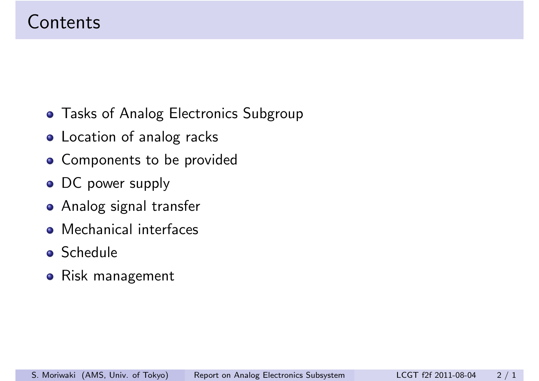- **Tasks of Analog Electronics Subgroup**
- **Location of analog racks**
- **Components to be provided**
- DC power supply
- Analog signal transfer
- **•** Mechanical interfaces
- **•** Schedule

. .

Risk management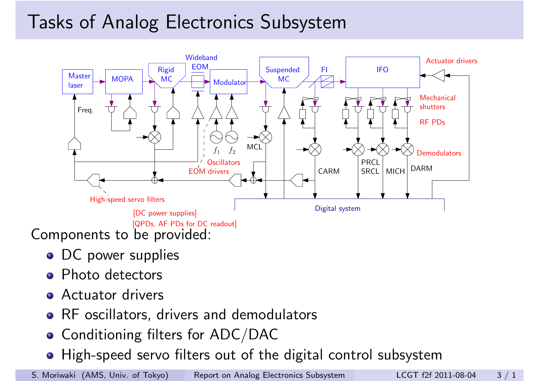## Tasks of Analog Electronics Subsystem



- DC power supplies
- Photo detectors
- **•** Actuator drivers
- RF oscillators, drivers and demodulators
- Conditioning filters for ADC/DAC  $\bullet$
- High-speed servo filters out of the digital control subsystem

S. Moriwaki [\(AMS, Univ. of To](#page-0-0)kyo) Report on Analog Electronics Subsystem LCGT f2f 2011-08-04 3 / 1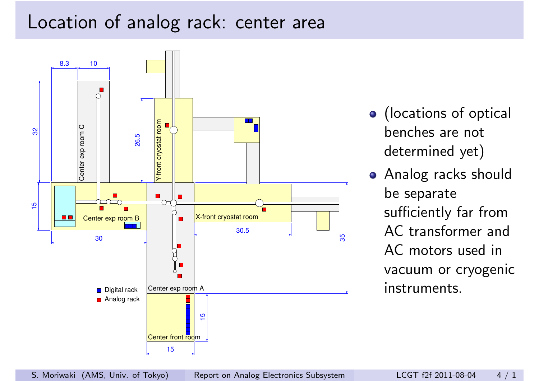#### Location of analog rack: center area



- (locations of optical benches are not determined yet)
- **Analog racks should** be separate sufficiently far from AC transformer and AC motors used in vacuum or cryogenic instruments.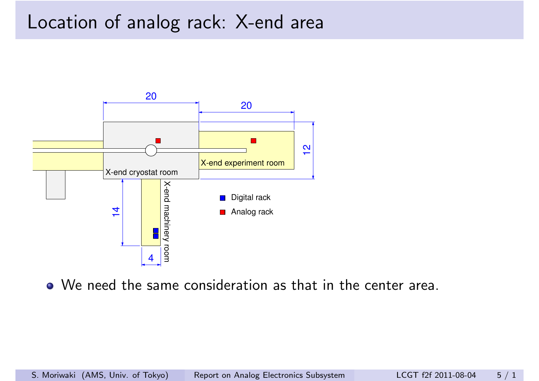#### Location of analog rack: X-end area



We need the same consideration as that in the center area.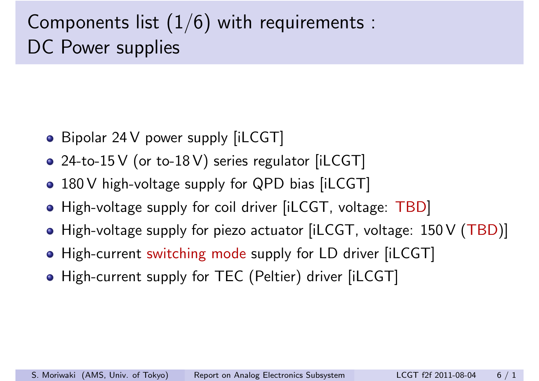# Components list  $(1/6)$  with requirements : DC Power supplies

- Bipolar 24 V power supply [iLCGT]
- 24-to-15 V (or to-18 V) series regulator [iLCGT]
- 180 V high-voltage supply for QPD bias [iLCGT]
- High-voltage supply for coil driver [iLCGT, voltage: TBD]
- High-voltage supply for piezo actuator [iLCGT, voltage: 150 V (TBD)]
- High-current switching mode supply for LD driver [iLCGT]
- High-current supply for TEC (Peltier) driver [iLCGT]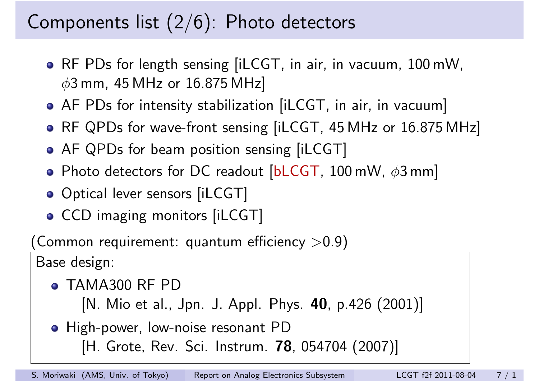# Components list  $(2/6)$ : Photo detectors

- RF PDs for length sensing [iLCGT, in air, in vacuum, 100 mW, *φ*3 mm, 45 MHz or 16.875 MHz]
- AF PDs for intensity stabilization [iLCGT, in air, in vacuum]
- RF QPDs for wave-front sensing [iLCGT, 45 MHz or 16.875 MHz]
- AF QPDs for beam position sensing [iLCGT]
- Photo detectors for DC readout [bLCGT, 100 mW, *φ*3 mm]
- Optical lever sensors [iLCGT]
- CCD imaging monitors [iLCGT]

(Common requirement: quantum efficiency *>*0.9)

Base design:

- TAMA300 RF PD
	- [N. Mio et al., Jpn. J. Appl. Phys. **40**, p.426 (2001)]
- High-power, low-noise resonant PD [H. Grote, Rev. Sci. Instrum. **78**, 054704 (2007)]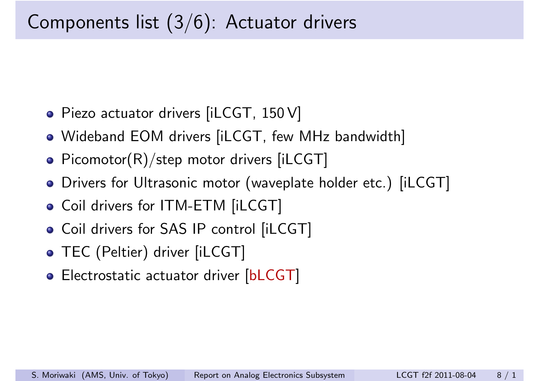# Components list (3/6): Actuator drivers

- Piezo actuator drivers [iLCGT, 150 V]
- Wideband EOM drivers [iLCGT, few MHz bandwidth]
- Picomotor $(R)/$ step motor drivers [iLCGT]
- Drivers for Ultrasonic motor (waveplate holder etc.) [iLCGT]
- Coil drivers for ITM-ETM [iLCGT]
- Coil drivers for SAS IP control [iLCGT]
- TEC (Peltier) driver [iLCGT]

. .

**•** Electrostatic actuator driver [bLCGT]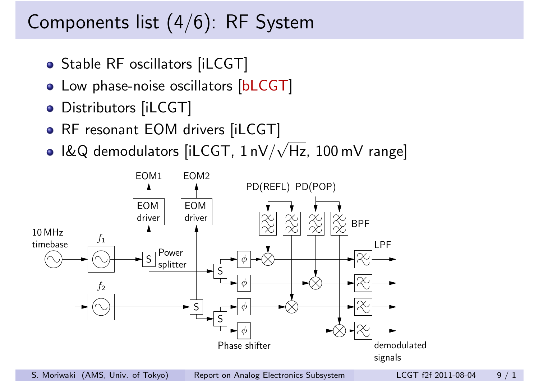# Components list (4/6): RF System

- Stable RF oscillators [iLCGT]
- Low phase-noise oscillators [bLCGT]
- Distributors [iLCGT]
- RF resonant EOM drivers [iLCGT]
- I&Q demodulators [iLCGT, 1 nV/*<sup>√</sup>* Hz, 100 mV range]



. .

S. Moriwaki [\(AMS, Univ. of To](#page-0-0)kyo) Report on Analog Electronics Subsystem LCGT f2f 2011-08-04 9 / 1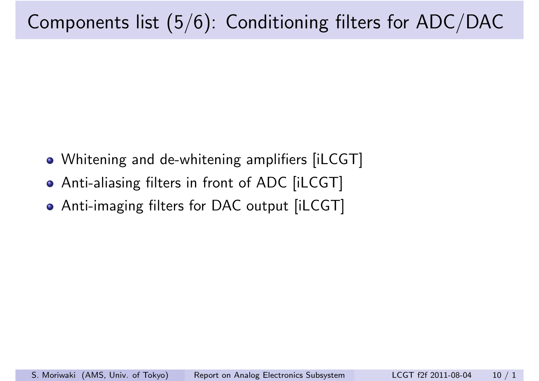# Components list (5/6): Conditioning filters for ADC/DAC

- Whitening and de-whitening amplifiers [iLCGT]
- Anti-aliasing filters in front of ADC [iLCGT]
- Anti-imaging filters for DAC output [iLCGT]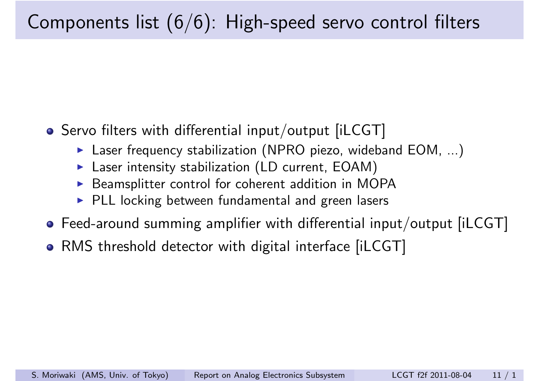# Components list (6/6): High-speed servo control filters

- **•** Servo filters with differential input/output [iLCGT]
	- $\blacktriangleright$  Laser frequency stabilization (NPRO piezo, wideband EOM, ...)
	- $\blacktriangleright$  Laser intensity stabilization (LD current, EOAM)
	- $\triangleright$  Beamsplitter control for coherent addition in MOPA
	- $\triangleright$  PLL locking between fundamental and green lasers
- Feed-around summing amplifier with differential input/output [iLCGT]
- RMS threshold detector with digital interface [iLCGT]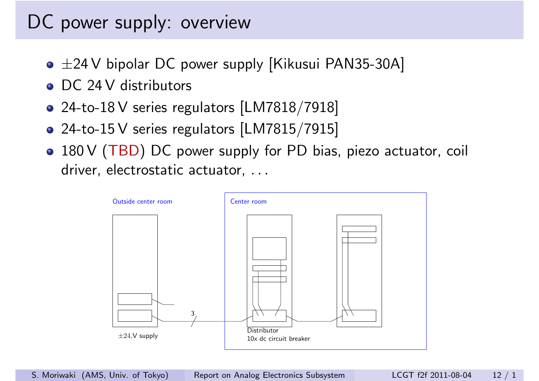## DC power supply: overview

- *±*24 V bipolar DC power supply [Kikusui PAN35-30A]
- DC 24 V distributors
- 24-to-18 V series regulators [LM7818/7918]
- 24-to-15 V series regulators [LM7815/7915]
- 180 V (TBD) DC power supply for PD bias, piezo actuator, coil driver, electrostatic actuator, *. . .*

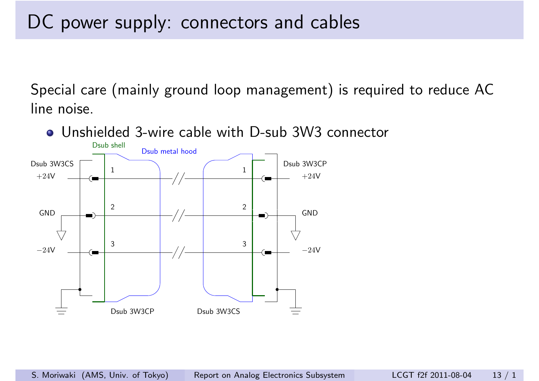## DC power supply: connectors and cables

Special care (mainly ground loop management) is required to reduce AC line noise.

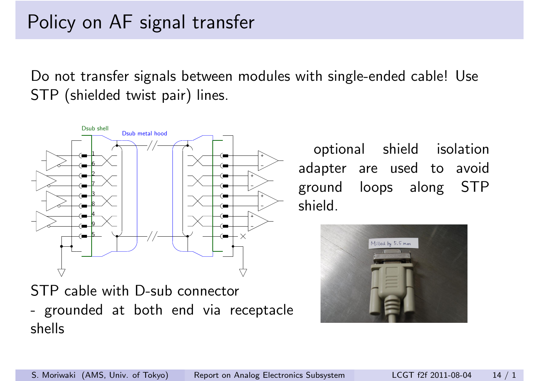Do not transfer signals between modules with single-ended cable! Use STP (shielded twist pair) lines.



STP cable with D-sub connector - grounded at both end via receptacle shells

. .

optional shield isolation adapter are used to avoid ground loops along STP shield.

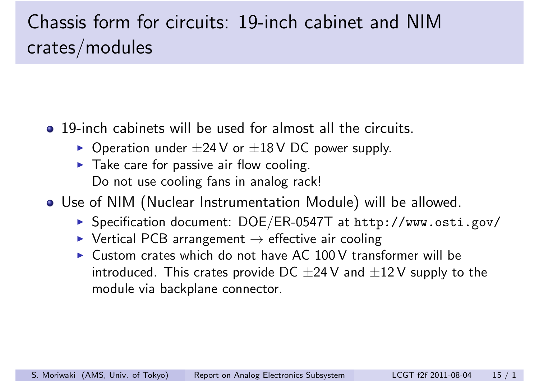# Chassis form for circuits: 19-inch cabinet and NIM crates/modules

- 19-inch cabinets will be used for almost all the circuits.
	- ▶ Operation under  $±24$  V or  $±18$  V DC power supply.
	- $\blacktriangleright$  Take care for passive air flow cooling. Do not use cooling fans in analog rack!
- Use of NIM (Nuclear Instrumentation Module) will be allowed.
	- ▶ Specification document: DOE/ER-0547T at http://www.osti.gov/
	- ▶ Vertical PCB arrangement  $\rightarrow$  effective air cooling
	- $\triangleright$  Custom crates which do not have AC 100 V transformer will be introduced. This crates provide DC *±*24 V and *±*12 V supply to the module via backplane connector.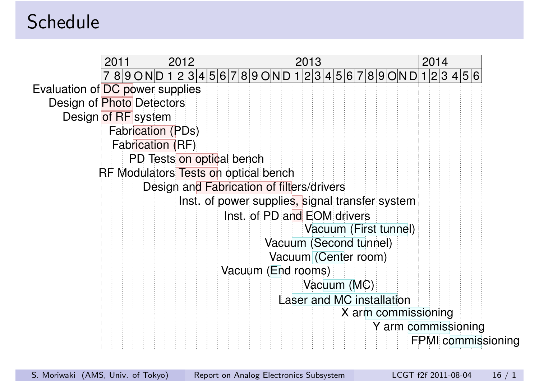# Schedule

|                                 | 2011 |                                                                                   | 2012 |  |  |  |                                                 |  |                           | 2013        |  |  |  |  |  |                       | 2014                      |  |  |  |  |
|---------------------------------|------|-----------------------------------------------------------------------------------|------|--|--|--|-------------------------------------------------|--|---------------------------|-------------|--|--|--|--|--|-----------------------|---------------------------|--|--|--|--|
|                                 |      | 7 8 9 0 N D 1 2 3 4 5 6 7 8 9 0 N D 1 2 3 4 5 6 7 8 9 0 N D 1 2 3 4 5 6 7 8 9 0 N |      |  |  |  |                                                 |  |                           |             |  |  |  |  |  |                       |                           |  |  |  |  |
| Evaluation of DC power supplies |      |                                                                                   |      |  |  |  |                                                 |  |                           |             |  |  |  |  |  |                       |                           |  |  |  |  |
| Design of Photo Detectors       |      |                                                                                   |      |  |  |  |                                                 |  |                           |             |  |  |  |  |  |                       |                           |  |  |  |  |
| Design of RF system             |      |                                                                                   |      |  |  |  |                                                 |  |                           |             |  |  |  |  |  |                       |                           |  |  |  |  |
|                                 |      | <b>Fabrication (PDs)</b>                                                          |      |  |  |  |                                                 |  |                           |             |  |  |  |  |  |                       |                           |  |  |  |  |
|                                 |      | <b>Fabrication (RF)</b>                                                           |      |  |  |  |                                                 |  |                           |             |  |  |  |  |  |                       |                           |  |  |  |  |
|                                 |      | PD Tests on optical bench                                                         |      |  |  |  |                                                 |  |                           |             |  |  |  |  |  |                       |                           |  |  |  |  |
|                                 |      | RF Modulators Tests on optical bench                                              |      |  |  |  |                                                 |  |                           |             |  |  |  |  |  |                       |                           |  |  |  |  |
|                                 |      | Design and Fabrication of filters/drivers                                         |      |  |  |  |                                                 |  |                           |             |  |  |  |  |  |                       |                           |  |  |  |  |
|                                 |      |                                                                                   |      |  |  |  | Inst. of power supplies, signal transfer system |  |                           |             |  |  |  |  |  |                       |                           |  |  |  |  |
|                                 |      |                                                                                   |      |  |  |  | Inst. of PD and EOM drivers                     |  |                           |             |  |  |  |  |  |                       |                           |  |  |  |  |
|                                 |      |                                                                                   |      |  |  |  |                                                 |  |                           |             |  |  |  |  |  | Vacuum (First tunnel) |                           |  |  |  |  |
|                                 |      |                                                                                   |      |  |  |  |                                                 |  | Vacuum (Second tunnel)    |             |  |  |  |  |  |                       |                           |  |  |  |  |
|                                 |      |                                                                                   |      |  |  |  |                                                 |  | Vacuum (Center room)      |             |  |  |  |  |  |                       |                           |  |  |  |  |
|                                 |      |                                                                                   |      |  |  |  | Vacuum (End rooms)                              |  |                           |             |  |  |  |  |  |                       |                           |  |  |  |  |
|                                 |      |                                                                                   |      |  |  |  |                                                 |  |                           | Vacuum (MC) |  |  |  |  |  |                       |                           |  |  |  |  |
|                                 |      |                                                                                   |      |  |  |  |                                                 |  | Laser and MC installation |             |  |  |  |  |  |                       |                           |  |  |  |  |
|                                 |      |                                                                                   |      |  |  |  |                                                 |  |                           |             |  |  |  |  |  | X arm commissioning   |                           |  |  |  |  |
|                                 |      |                                                                                   |      |  |  |  |                                                 |  |                           |             |  |  |  |  |  | Y arm commissioning   |                           |  |  |  |  |
|                                 |      |                                                                                   |      |  |  |  |                                                 |  |                           |             |  |  |  |  |  |                       | <b>FPMI</b> commissioning |  |  |  |  |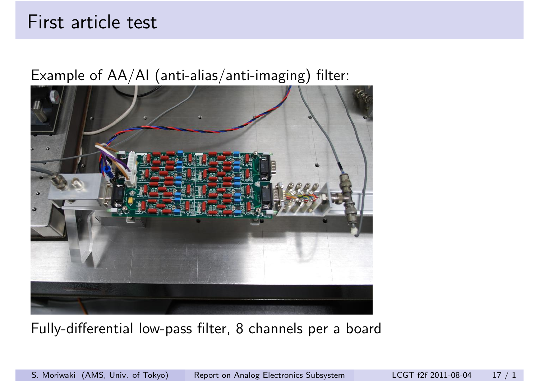### First article test

#### Example of AA/AI (anti-alias/anti-imaging) filter:



#### Fully-differential low-pass filter, 8 channels per a board

S. Moriwaki [\(AMS, Univ. of To](#page-0-0)kyo) Report on Analog Electronics Subsystem LCGT f2f 2011-08-04 17 / 1